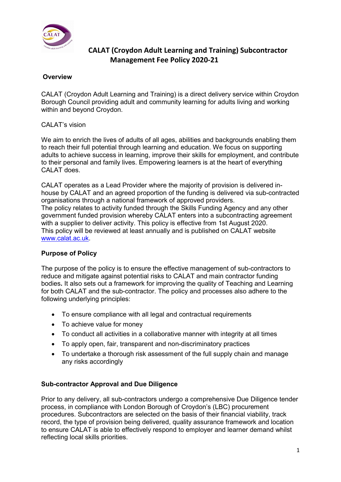

### **Overview**

CALAT (Croydon Adult Learning and Training) is a direct delivery service within Croydon Borough Council providing adult and community learning for adults living and working within and beyond Croydon.

### CALAT's vision

We aim to enrich the lives of adults of all ages, abilities and backgrounds enabling them to reach their full potential through learning and education. We focus on supporting adults to achieve success in learning, improve their skills for employment, and contribute to their personal and family lives. Empowering learners is at the heart of everything CALAT does.

CALAT operates as a Lead Provider where the majority of provision is delivered inhouse by CALAT and an agreed proportion of the funding is delivered via sub-contracted organisations through a national framework of approved providers. The policy relates to activity funded through the Skills Funding Agency and any other government funded provision whereby CALAT enters into a subcontracting agreement with a supplier to deliver activity. This policy is effective from 1st August 2020. This policy will be reviewed at least annually and is published on CALAT website [www.calat.ac.uk.](http://www.calat.ac.uk/)

### **Purpose of Policy**

The purpose of the policy is to ensure the effective management of sub-contractors to reduce and mitigate against potential risks to CALAT and main contractor funding bodies**.** It also sets out a framework for improving the quality of Teaching and Learning for both CALAT and the sub-contractor. The policy and processes also adhere to the following underlying principles:

- To ensure compliance with all legal and contractual requirements
- To achieve value for money
- To conduct all activities in a collaborative manner with integrity at all times
- To apply open, fair, transparent and non-discriminatory practices
- To undertake a thorough risk assessment of the full supply chain and manage any risks accordingly

#### **Sub-contractor Approval and Due Diligence**

Prior to any delivery, all sub-contractors undergo a comprehensive Due Diligence tender process, in compliance with London Borough of Croydon's (LBC) procurement procedures. Subcontractors are selected on the basis of their financial viability, track record, the type of provision being delivered, quality assurance framework and location to ensure CALAT is able to effectively respond to employer and learner demand whilst reflecting local skills priorities.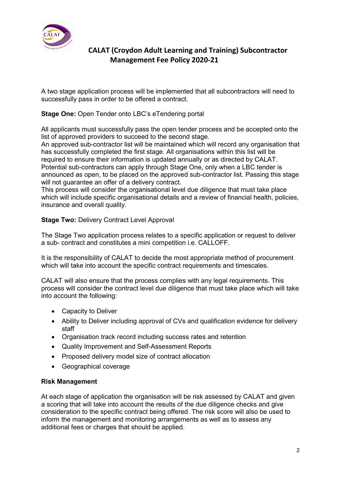

A two stage application process will be implemented that all subcontractors will need to successfully pass in order to be offered a contract.

**Stage One:** Open Tender onto LBC's eTendering portal

All applicants must successfully pass the open tender process and be accepted onto the list of approved providers to succeed to the second stage.

An approved sub-contractor list will be maintained which will record any organisation that has successfully completed the first stage. All organisations within this list will be required to ensure their information is updated annually or as directed by CALAT. Potential sub-contractors can apply through Stage One, only when a LBC tender is announced as open, to be placed on the approved sub-contractor list. Passing this stage will not guarantee an offer of a delivery contract.

This process will consider the organisational level due diligence that must take place which will include specific organisational details and a review of financial health, policies, insurance and overall quality.

#### **Stage Two: Delivery Contract Level Approval**

The Stage Two application process relates to a specific application or request to deliver a sub- contract and constitutes a mini competition i.e. CALLOFF.

It is the responsibility of CALAT to decide the most appropriate method of procurement which will take into account the specific contract requirements and timescales.

CALAT will also ensure that the process complies with any legal requirements. This process will consider the contract level due diligence that must take place which will take into account the following:

- Capacity to Deliver
- Ability to Deliver including approval of CVs and qualification evidence for delivery staff
- Organisation track record including success rates and retention
- Quality Improvement and Self-Assessment Reports
- Proposed delivery model size of contract allocation
- Geographical coverage

#### **Risk Management**

At each stage of application the organisation will be risk assessed by CALAT and given a scoring that will take into account the results of the due diligence checks and give consideration to the specific contract being offered. The risk score will also be used to inform the management and monitoring arrangements as well as to assess any additional fees or charges that should be applied.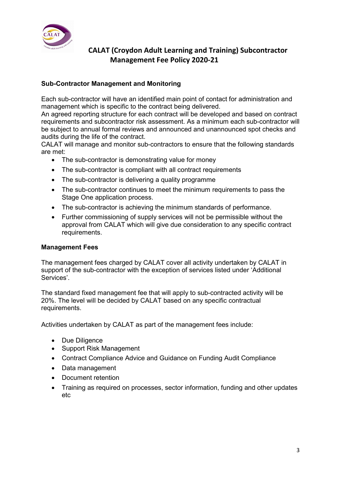

### **Sub-Contractor Management and Monitoring**

Each sub-contractor will have an identified main point of contact for administration and management which is specific to the contract being delivered.

An agreed reporting structure for each contract will be developed and based on contract requirements and subcontractor risk assessment. As a minimum each sub-contractor will be subject to annual formal reviews and announced and unannounced spot checks and audits during the life of the contract.

CALAT will manage and monitor sub-contractors to ensure that the following standards are met:

- The sub-contractor is demonstrating value for money
- The sub-contractor is compliant with all contract requirements
- The sub-contractor is delivering a quality programme
- The sub-contractor continues to meet the minimum requirements to pass the Stage One application process.
- The sub-contractor is achieving the minimum standards of performance.
- Further commissioning of supply services will not be permissible without the approval from CALAT which will give due consideration to any specific contract requirements.

### **Management Fees**

The management fees charged by CALAT cover all activity undertaken by CALAT in support of the sub-contractor with the exception of services listed under 'Additional Services'.

The standard fixed management fee that will apply to sub-contracted activity will be 20%. The level will be decided by CALAT based on any specific contractual requirements.

Activities undertaken by CALAT as part of the management fees include:

- Due Diligence
- Support Risk Management
- Contract Compliance Advice and Guidance on Funding Audit Compliance
- Data management
- Document retention
- Training as required on processes, sector information, funding and other updates etc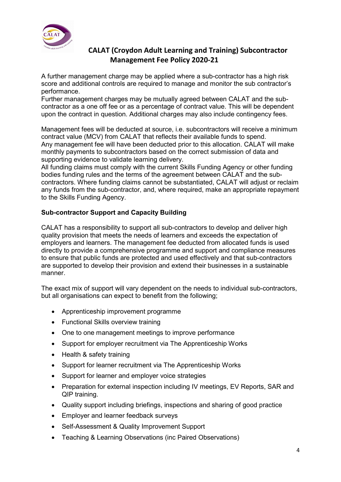

A further management charge may be applied where a sub-contractor has a high risk score and additional controls are required to manage and monitor the sub contractor's performance.

Further management charges may be mutually agreed between CALAT and the subcontractor as a one off fee or as a percentage of contract value. This will be dependent upon the contract in question. Additional charges may also include contingency fees.

Management fees will be deducted at source, i.e. subcontractors will receive a minimum contract value (MCV) from CALAT that reflects their available funds to spend. Any management fee will have been deducted prior to this allocation. CALAT will make monthly payments to subcontractors based on the correct submission of data and supporting evidence to validate learning delivery.

All funding claims must comply with the current Skills Funding Agency or other funding bodies funding rules and the terms of the agreement between CALAT and the subcontractors. Where funding claims cannot be substantiated, CALAT will adjust or reclaim any funds from the sub-contractor, and, where required, make an appropriate repayment to the Skills Funding Agency.

### **Sub-contractor Support and Capacity Building**

CALAT has a responsibility to support all sub-contractors to develop and deliver high quality provision that meets the needs of learners and exceeds the expectation of employers and learners. The management fee deducted from allocated funds is used directly to provide a comprehensive programme and support and compliance measures to ensure that public funds are protected and used effectively and that sub-contractors are supported to develop their provision and extend their businesses in a sustainable manner.

The exact mix of support will vary dependent on the needs to individual sub-contractors, but all organisations can expect to benefit from the following;

- Apprenticeship improvement programme
- Functional Skills overview training
- One to one management meetings to improve performance
- Support for employer recruitment via The Apprenticeship Works
- Health & safety training
- Support for learner recruitment via The Apprenticeship Works
- Support for learner and employer voice strategies
- Preparation for external inspection including IV meetings, EV Reports, SAR and QIP training.
- Quality support including briefings, inspections and sharing of good practice
- Employer and learner feedback surveys
- Self-Assessment & Quality Improvement Support
- Teaching & Learning Observations (inc Paired Observations)